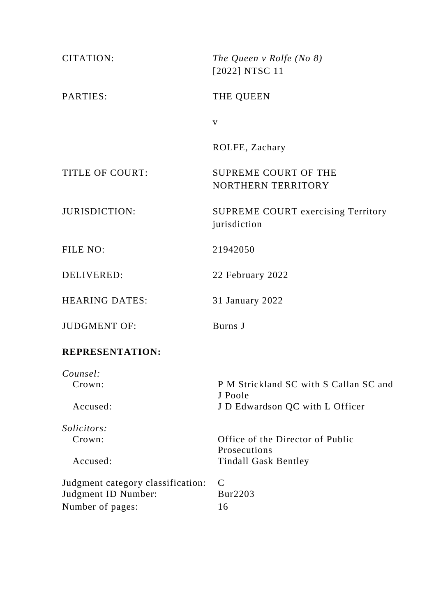| <b>CITATION:</b>                  | The Queen v Rolfe (No $8$ )<br>[2022] NTSC 11      |
|-----------------------------------|----------------------------------------------------|
| PARTIES:                          | THE QUEEN                                          |
|                                   | $\mathbf V$                                        |
|                                   | ROLFE, Zachary                                     |
| <b>TITLE OF COURT:</b>            | <b>SUPREME COURT OF THE</b><br>NORTHERN TERRITORY  |
| <b>JURISDICTION:</b>              | SUPREME COURT exercising Territory<br>jurisdiction |
| FILE NO:                          | 21942050                                           |
| DELIVERED:                        | 22 February 2022                                   |
| <b>HEARING DATES:</b>             | 31 January 2022                                    |
| <b>JUDGMENT OF:</b>               | Burns J                                            |
| <b>REPRESENTATION:</b>            |                                                    |
| Counsel:<br>Crown:                | P M Strickland SC with S Callan SC and<br>J Poole  |
| Accused:                          | J D Edwardson QC with L Officer                    |
| Solicitors:                       |                                                    |
| Crown:                            | Office of the Director of Public                   |
| Accused:                          | Prosecutions<br><b>Tindall Gask Bentley</b>        |
| Judgment category classification: | $\mathcal{C}$                                      |
| Judgment ID Number:               | Bur2203                                            |
| Number of pages:                  | 16                                                 |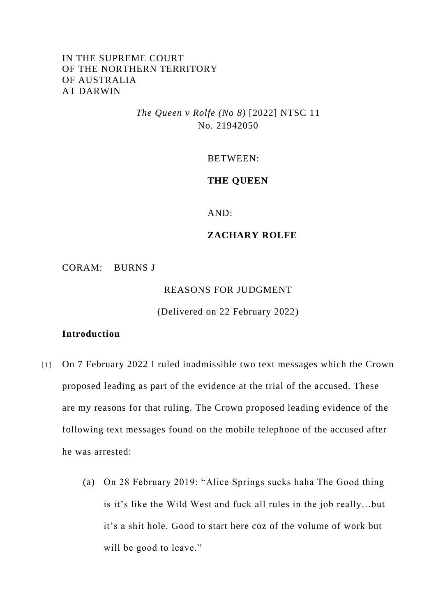## IN THE SUPREME COURT OF THE NORTHERN TERRITORY OF AUSTRALIA AT DARWIN

*The Queen v Rolfe (No 8)* [2022] NTSC 11 No. 21942050

BETWEEN:

## **THE QUEEN**

AND:

## **ZACHARY ROLFE**

CORAM: BURNS J

REASONS FOR JUDGMENT

(Delivered on 22 February 2022)

## **Introduction**

- [1] On 7 February 2022 I ruled inadmissible two text messages which the Crown proposed leading as part of the evidence at the trial of the accused. These are my reasons for that ruling. The Crown proposed leading evidence of the following text messages found on the mobile telephone of the accused after he was arrested:
	- (a) On 28 February 2019: "Alice Springs sucks haha The Good thing is it's like the Wild West and fuck all rules in the job really…but it's a shit hole. Good to start here coz of the volume of work but will be good to leave."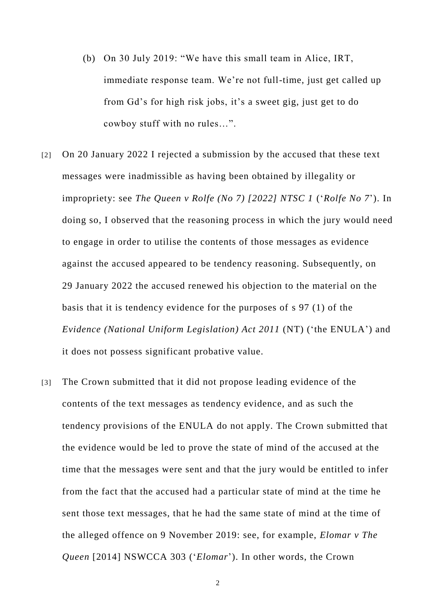- (b) On 30 July 2019: "We have this small team in Alice, IRT, immediate response team. We're not full-time, just get called up from Gd's for high risk jobs, it's a sweet gig, just get to do cowboy stuff with no rules…".
- [2] On 20 January 2022 I rejected a submission by the accused that these text messages were inadmissible as having been obtained by illegality or impropriety: see *The Queen v Rolfe (No 7) [2022] NTSC 1* ('*Rolfe No 7*'). In doing so, I observed that the reasoning process in which the jury would need to engage in order to utilise the contents of those messages as evidence against the accused appeared to be tendency reasoning. Subsequently, on 29 January 2022 the accused renewed his objection to the material on the basis that it is tendency evidence for the purposes of s 97 (1) of the *Evidence (National Uniform Legislation) Act 2011* (NT) ('the ENULA') and it does not possess significant probative value.
- [3] The Crown submitted that it did not propose leading evidence of the contents of the text messages as tendency evidence, and as such the tendency provisions of the ENULA do not apply. The Crown submitted that the evidence would be led to prove the state of mind of the accused at the time that the messages were sent and that the jury would be entitled to infer from the fact that the accused had a particular state of mind at the time he sent those text messages, that he had the same state of mind at the time of the alleged offence on 9 November 2019: see, for example, *Elomar v The Queen* [2014] NSWCCA 303 ('*Elomar*'). In other words, the Crown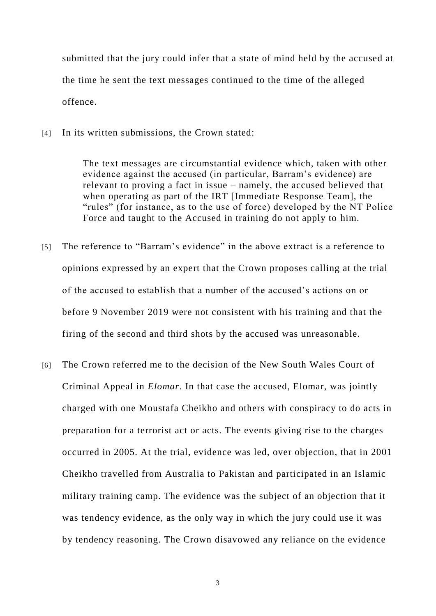submitted that the jury could infer that a state of mind held by the accused at the time he sent the text messages continued to the time of the alleged offence.

[4] In its written submissions, the Crown stated:

The text messages are circumstantial evidence which, taken with other evidence against the accused (in particular, Barram's evidence) are relevant to proving a fact in issue – namely, the accused believed that when operating as part of the IRT [Immediate Response Team], the "rules" (for instance, as to the use of force) developed by the NT Police Force and taught to the Accused in training do not apply to him.

- [5] The reference to "Barram's evidence" in the above extract is a reference to opinions expressed by an expert that the Crown proposes calling at the trial of the accused to establish that a number of the accused's actions on or before 9 November 2019 were not consistent with his training and that the firing of the second and third shots by the accused was unreasonable.
- [6] The Crown referred me to the decision of the New South Wales Court of Criminal Appeal in *Elomar*. In that case the accused, Elomar, was jointly charged with one Moustafa Cheikho and others with conspiracy to do acts in preparation for a terrorist act or acts. The events giving rise to the charges occurred in 2005. At the trial, evidence was led, over objection, that in 2001 Cheikho travelled from Australia to Pakistan and participated in an Islamic military training camp. The evidence was the subject of an objection that it was tendency evidence, as the only way in which the jury could use it was by tendency reasoning. The Crown disavowed any reliance on the evidence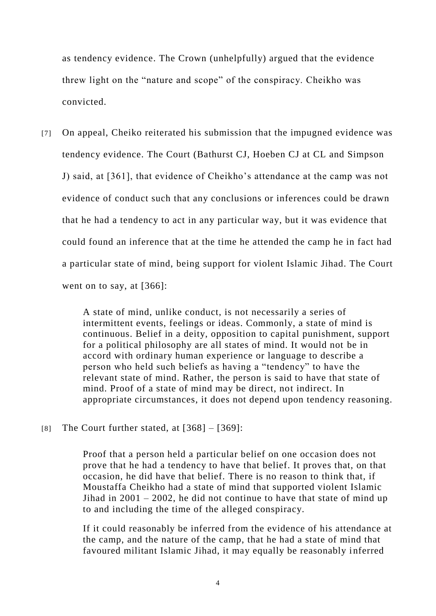as tendency evidence. The Crown (unhelpfully) argued that the evidence threw light on the "nature and scope" of the conspiracy. Cheikho was convicted.

[7] On appeal, Cheiko reiterated his submission that the impugned evidence was tendency evidence. The Court (Bathurst CJ, Hoeben CJ at CL and Simpson J) said, at [361], that evidence of Cheikho's attendance at the camp was not evidence of conduct such that any conclusions or inferences could be drawn that he had a tendency to act in any particular way, but it was evidence that could found an inference that at the time he attended the camp he in fact had a particular state of mind, being support for violent Islamic Jihad. The Court went on to say, at [366]:

> A state of mind, unlike conduct, is not necessarily a series of intermittent events, feelings or ideas. Commonly, a state of mind is continuous. Belief in a deity, opposition to capital punishment, support for a political philosophy are all states of mind. It would not be in accord with ordinary human experience or language to describe a person who held such beliefs as having a "tendency" to have the relevant state of mind. Rather, the person is said to have that state of mind. Proof of a state of mind may be direct, not indirect. In appropriate circumstances, it does not depend upon tendency reasoning.

[8] The Court further stated, at  $[368] - [369]$ :

Proof that a person held a particular belief on one occasion does not prove that he had a tendency to have that belief. It proves that, on that occasion, he did have that belief. There is no reason to think that, if Moustaffa Cheikho had a state of mind that supported violent Islamic Jihad in  $2001 - 2002$ , he did not continue to have that state of mind up to and including the time of the alleged conspiracy.

If it could reasonably be inferred from the evidence of his attendance at the camp, and the nature of the camp, that he had a state of mind that favoured militant Islamic Jihad, it may equally be reasonably inferred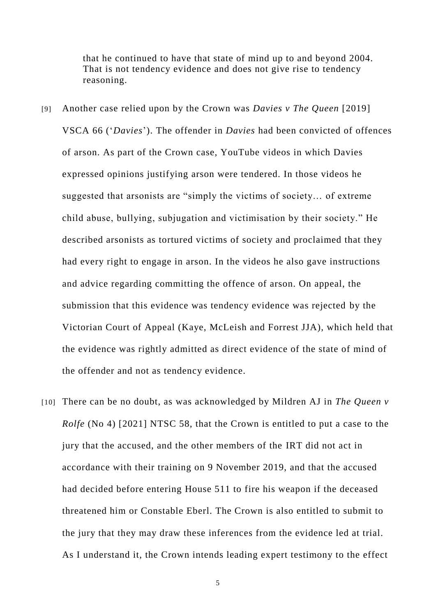that he continued to have that state of mind up to and beyond 2004. That is not tendency evidence and does not give rise to tendency reasoning.

- [9] Another case relied upon by the Crown was *Davies v The Queen* [2019] VSCA 66 ('*Davies*'). The offender in *Davies* had been convicted of offences of arson. As part of the Crown case, YouTube videos in which Davies expressed opinions justifying arson were tendered. In those videos he suggested that arsonists are "simply the victims of society… of extreme child abuse, bullying, subjugation and victimisation by their society." He described arsonists as tortured victims of society and proclaimed that they had every right to engage in arson. In the videos he also gave instructions and advice regarding committing the offence of arson. On appeal, the submission that this evidence was tendency evidence was rejected by the Victorian Court of Appeal (Kaye, McLeish and Forrest JJA), which held that the evidence was rightly admitted as direct evidence of the state of mind of the offender and not as tendency evidence.
- [10] There can be no doubt, as was acknowledged by Mildren AJ in *The Queen v Rolfe* (No 4) [2021] NTSC 58, that the Crown is entitled to put a case to the jury that the accused, and the other members of the IRT did not act in accordance with their training on 9 November 2019, and that the accused had decided before entering House 511 to fire his weapon if the deceased threatened him or Constable Eberl. The Crown is also entitled to submit to the jury that they may draw these inferences from the evidence led at trial. As I understand it, the Crown intends leading expert testimony to the effect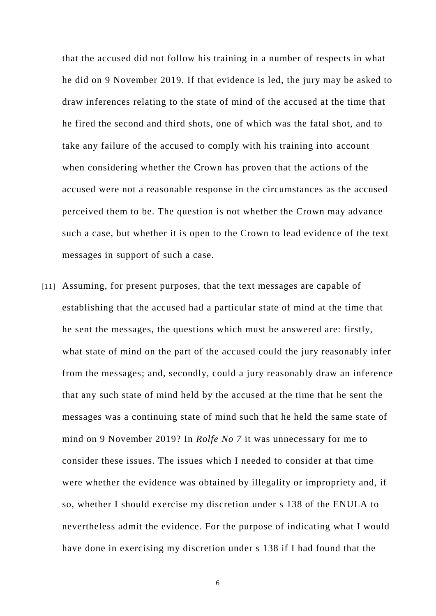that the accused did not follow his training in a number of respects in what he did on 9 November 2019. If that evidence is led, the jury may be asked to draw inferences relating to the state of mind of the accused at the time that he fired the second and third shots, one of which was the fatal shot, and to take any failure of the accused to comply with his training into account when considering whether the Crown has proven that the actions of the accused were not a reasonable response in the circumstances as the accused perceived them to be. The question is not whether the Crown may advance such a case, but whether it is open to the Crown to lead evidence of the text messages in support of such a case.

[11] Assuming, for present purposes, that the text messages are capable of establishing that the accused had a particular state of mind at the time that he sent the messages, the questions which must be answered are: firstly, what state of mind on the part of the accused could the jury reasonably infer from the messages; and, secondly, could a jury reasonably draw an inference that any such state of mind held by the accused at the time that he sent the messages was a continuing state of mind such that he held the same state of mind on 9 November 2019? In *Rolfe No 7* it was unnecessary for me to consider these issues. The issues which I needed to consider at that time were whether the evidence was obtained by illegality or impropriety and, if so, whether I should exercise my discretion under s 138 of the ENULA to nevertheless admit the evidence. For the purpose of indicating what I would have done in exercising my discretion under s 138 if I had found that the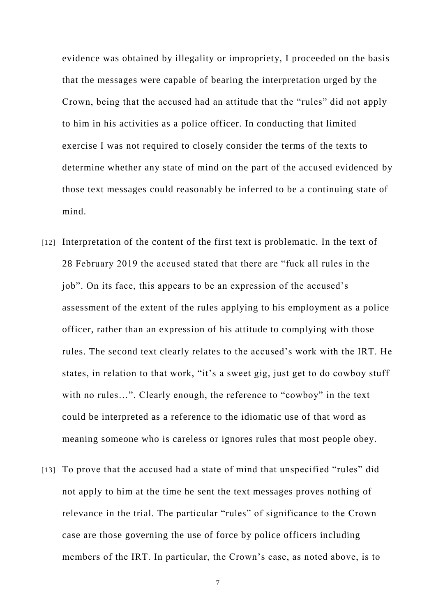evidence was obtained by illegality or impropriety, I proceeded on the basis that the messages were capable of bearing the interpretation urged by the Crown, being that the accused had an attitude that the "rules" did not apply to him in his activities as a police officer. In conducting that limited exercise I was not required to closely consider the terms of the texts to determine whether any state of mind on the part of the accused evidenced by those text messages could reasonably be inferred to be a continuing state of mind.

- [12] Interpretation of the content of the first text is problematic. In the text of 28 February 2019 the accused stated that there are "fuck all rules in the job". On its face, this appears to be an expression of the accused's assessment of the extent of the rules applying to his employment as a police officer, rather than an expression of his attitude to complying with those rules. The second text clearly relates to the accused's work with the IRT. He states, in relation to that work, "it's a sweet gig, just get to do cowboy stuff with no rules…". Clearly enough, the reference to "cowboy" in the text could be interpreted as a reference to the idiomatic use of that word as meaning someone who is careless or ignores rules that most people obey.
- [13] To prove that the accused had a state of mind that unspecified "rules" did not apply to him at the time he sent the text messages proves nothing of relevance in the trial. The particular "rules" of significance to the Crown case are those governing the use of force by police officers including members of the IRT. In particular, the Crown's case, as noted above, is to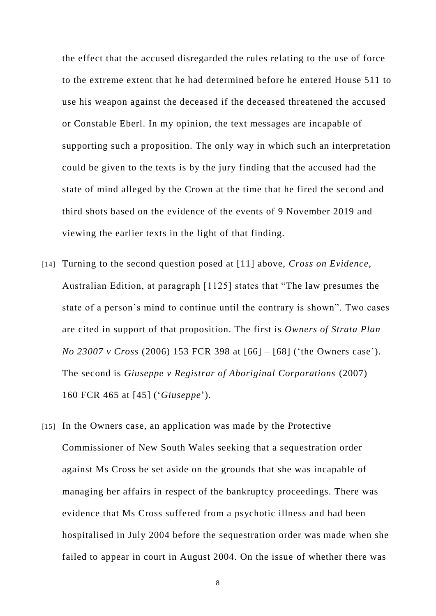the effect that the accused disregarded the rules relating to the use of force to the extreme extent that he had determined before he entered House 511 to use his weapon against the deceased if the deceased threatened the accused or Constable Eberl. In my opinion, the text messages are incapable of supporting such a proposition. The only way in which such an interpretation could be given to the texts is by the jury finding that the accused had the state of mind alleged by the Crown at the time that he fired the second and third shots based on the evidence of the events of 9 November 2019 and viewing the earlier texts in the light of that finding.

- [14] Turning to the second question posed at [11] above, *Cross on Evidence*, Australian Edition, at paragraph [1125] states that "The law presumes the state of a person's mind to continue until the contrary is shown". Two cases are cited in support of that proposition. The first is *Owners of Strata Plan No 23007 v Cross* (2006) 153 FCR 398 at [66] – [68] ('the Owners case'). The second is *Giuseppe v Registrar of Aboriginal Corporations* (2007) 160 FCR 465 at [45] ('*Giuseppe*').
- [15] In the Owners case, an application was made by the Protective Commissioner of New South Wales seeking that a sequestration order against Ms Cross be set aside on the grounds that she was incapable of managing her affairs in respect of the bankruptcy proceedings. There was evidence that Ms Cross suffered from a psychotic illness and had been hospitalised in July 2004 before the sequestration order was made when she failed to appear in court in August 2004. On the issue of whether there was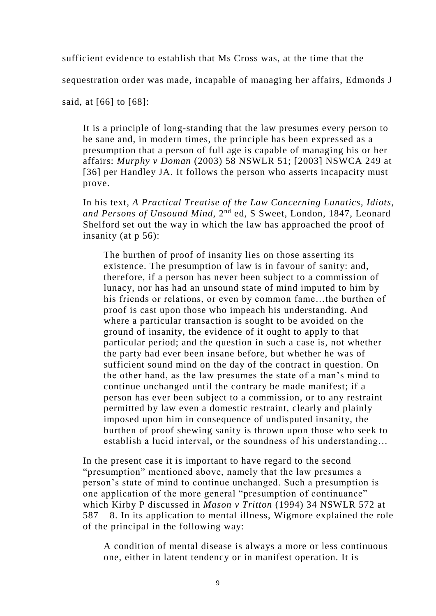sufficient evidence to establish that Ms Cross was, at the time that the

sequestration order was made, incapable of managing her affairs, Edmonds J

said, at [66] to [68]:

It is a principle of long-standing that the law presumes every person to be sane and, in modern times, the principle has been expressed as a presumption that a person of full age is capable of managing his or her affairs: *Murphy v Doman* (2003) 58 NSWLR 51; [2003] NSWCA 249 at [36] per Handley JA. It follows the person who asserts incapacity must prove.

In his text, *A Practical Treatise of the Law Concerning Lunatics, Idiots, and Persons of Unsound Mind*, 2nd ed, S Sweet, London, 1847, Leonard Shelford set out the way in which the law has approached the proof of insanity (at p 56):

The burthen of proof of insanity lies on those asserting its existence. The presumption of law is in favour of sanity: and, therefore, if a person has never been subject to a commission of lunacy, nor has had an unsound state of mind imputed to him by his friends or relations, or even by common fame...the burthen of proof is cast upon those who impeach his understanding. And where a particular transaction is sought to be avoided on the ground of insanity, the evidence of it ought to apply to that particular period; and the question in such a case is, not whether the party had ever been insane before, but whether he was of sufficient sound mind on the day of the contract in question. On the other hand, as the law presumes the state of a man's mind to continue unchanged until the contrary be made manifest; if a person has ever been subject to a commission, or to any restraint permitted by law even a domestic restraint, clearly and plainly imposed upon him in consequence of undisputed insanity, the burthen of proof shewing sanity is thrown upon those who seek to establish a lucid interval, or the soundness of his understanding…

In the present case it is important to have regard to the second "presumption" mentioned above, namely that the law presumes a person's state of mind to continue unchanged. Such a presumption is one application of the more general "presumption of continuance" which Kirby P discussed in *Mason v Tritton* (1994) 34 NSWLR 572 at 587 – 8. In its application to mental illness, Wigmore explained the role of the principal in the following way:

A condition of mental disease is always a more or less continuous one, either in latent tendency or in manifest operation. It is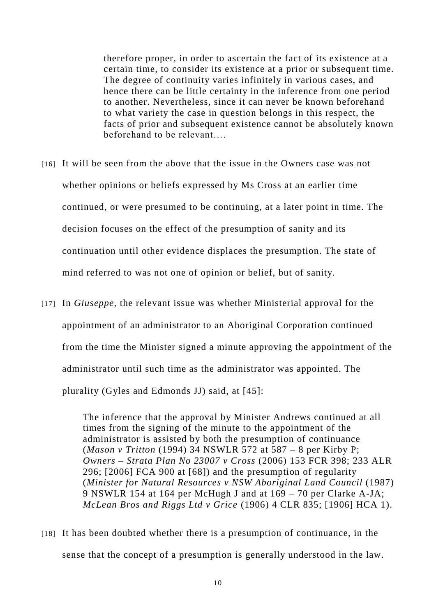therefore proper, in order to ascertain the fact of its existence at a certain time, to consider its existence at a prior or subsequent time. The degree of continuity varies infinitely in various cases, and hence there can be little certainty in the inference from one period to another. Nevertheless, since it can never be known beforehand to what variety the case in question belongs in this respect, the facts of prior and subsequent existence cannot be absolutely known beforehand to be relevant….

- [16] It will be seen from the above that the issue in the Owners case was not whether opinions or beliefs expressed by Ms Cross at an earlier time continued, or were presumed to be continuing, at a later point in time. The decision focuses on the effect of the presumption of sanity and its continuation until other evidence displaces the presumption. The state of mind referred to was not one of opinion or belief, but of sanity.
- [17] In *Giuseppe*, the relevant issue was whether Ministerial approval for the appointment of an administrator to an Aboriginal Corporation continued from the time the Minister signed a minute approving the appointment of the administrator until such time as the administrator was appointed. The plurality (Gyles and Edmonds JJ) said, at [45]:

The inference that the approval by Minister Andrews continued at all times from the signing of the minute to the appointment of the administrator is assisted by both the presumption of continuance (*Mason v Tritton* (1994) 34 NSWLR 572 at 587 – 8 per Kirby P; *Owners – Strata Plan No 23007 v Cross* (2006) 153 FCR 398; 233 ALR 296; [2006] FCA 900 at [68]) and the presumption of regularity (*Minister for Natural Resources v NSW Aboriginal Land Council* (1987) 9 NSWLR 154 at 164 per McHugh J and at 169 – 70 per Clarke A-JA; *McLean Bros and Riggs Ltd v Grice* (1906) 4 CLR 835; [1906] HCA 1).

[18] It has been doubted whether there is a presumption of continuance, in the sense that the concept of a presumption is generally understood in the law.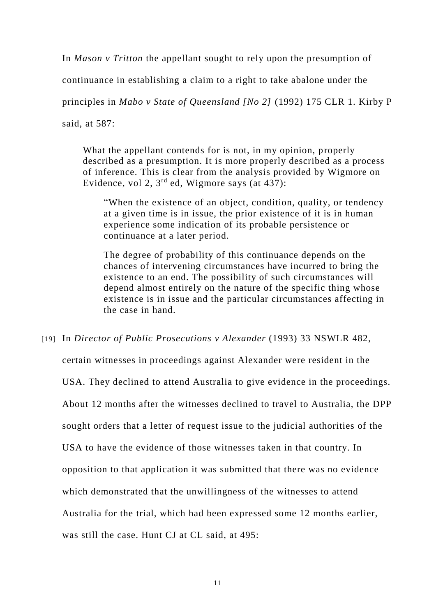In *Mason v Tritton* the appellant sought to rely upon the presumption of continuance in establishing a claim to a right to take abalone under the principles in *Mabo v State of Queensland [No 2]* (1992) 175 CLR 1. Kirby P said, at 587:

What the appellant contends for is not, in my opinion, properly described as a presumption. It is more properly described as a process of inference. This is clear from the analysis provided by Wigmore on Evidence, vol 2,  $3<sup>rd</sup>$  ed, Wigmore says (at 437):

"When the existence of an object, condition, quality, or tendency at a given time is in issue, the prior existence of it is in human experience some indication of its probable persistence or continuance at a later period.

The degree of probability of this continuance depends on the chances of intervening circumstances have incurred to bring the existence to an end. The possibility of such circumstances will depend almost entirely on the nature of the specific thing whose existence is in issue and the particular circumstances affecting in the case in hand.

[19] In *Director of Public Prosecutions v Alexander* (1993) 33 NSWLR 482,

certain witnesses in proceedings against Alexander were resident in the USA. They declined to attend Australia to give evidence in the proceedings. About 12 months after the witnesses declined to travel to Australia, the DPP sought orders that a letter of request issue to the judicial authorities of the USA to have the evidence of those witnesses taken in that country. In opposition to that application it was submitted that there was no evidence which demonstrated that the unwillingness of the witnesses to attend Australia for the trial, which had been expressed some 12 months earlier, was still the case. Hunt CJ at CL said, at 495: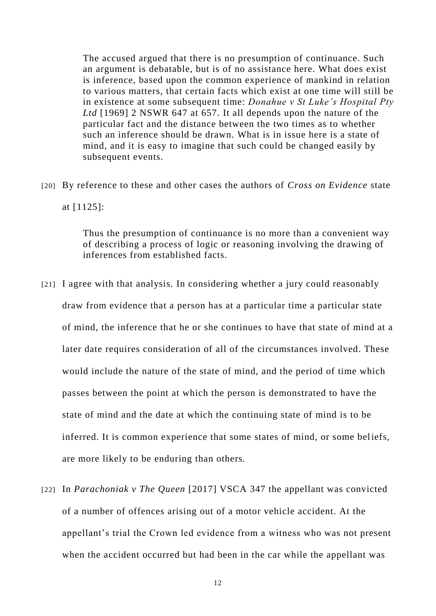The accused argued that there is no presumption of continuance. Such an argument is debatable, but is of no assistance here. What does exist is inference, based upon the common experience of mankind in relation to various matters, that certain facts which exist at one time will still be in existence at some subsequent time: *Donahue v St Luke's Hospital Pty Ltd* [1969] 2 NSWR 647 at 657. It all depends upon the nature of the particular fact and the distance between the two times as to whether such an inference should be drawn. What is in issue here is a state of mind, and it is easy to imagine that such could be changed easily by subsequent events.

[20] By reference to these and other cases the authors of *Cross on Evidence* state at [1125]:

> Thus the presumption of continuance is no more than a convenient way of describing a process of logic or reasoning involving the drawing of inferences from established facts.

- [21] I agree with that analysis. In considering whether a jury could reasonably draw from evidence that a person has at a particular time a particular state of mind, the inference that he or she continues to have that state of mind at a later date requires consideration of all of the circumstances involved. These would include the nature of the state of mind, and the period of time which passes between the point at which the person is demonstrated to have the state of mind and the date at which the continuing state of mind is to be inferred. It is common experience that some states of mind, or some beliefs, are more likely to be enduring than others.
- [22] In *Parachoniak v The Queen* [2017] VSCA 347 the appellant was convicted of a number of offences arising out of a motor vehicle accident. At the appellant's trial the Crown led evidence from a witness who was not present when the accident occurred but had been in the car while the appellant was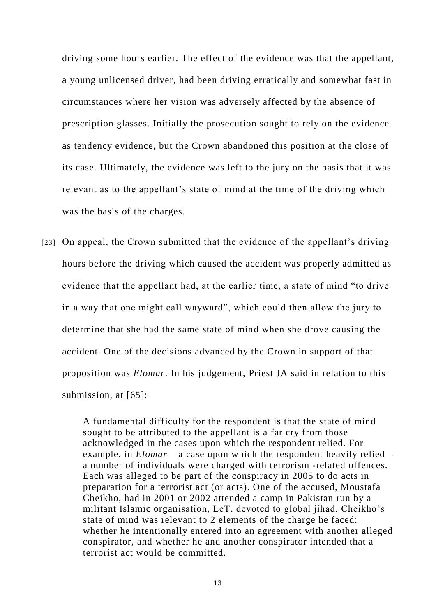driving some hours earlier. The effect of the evidence was that the appellant, a young unlicensed driver, had been driving erratically and somewhat fast in circumstances where her vision was adversely affected by the absence of prescription glasses. Initially the prosecution sought to rely on the evidence as tendency evidence, but the Crown abandoned this position at the close of its case. Ultimately, the evidence was left to the jury on the basis that it was relevant as to the appellant's state of mind at the time of the driving which was the basis of the charges.

[23] On appeal, the Crown submitted that the evidence of the appellant's driving hours before the driving which caused the accident was properly admitted as evidence that the appellant had, at the earlier time, a state of mind "to drive in a way that one might call wayward", which could then allow the jury to determine that she had the same state of mind when she drove causing the accident. One of the decisions advanced by the Crown in support of that proposition was *Elomar*. In his judgement, Priest JA said in relation to this submission, at [65]:

> A fundamental difficulty for the respondent is that the state of mind sought to be attributed to the appellant is a far cry from those acknowledged in the cases upon which the respondent relied. For example, in *Elomar* – a case upon which the respondent heavily relied – a number of individuals were charged with terrorism -related offences. Each was alleged to be part of the conspiracy in 2005 to do acts in preparation for a terrorist act (or acts). One of the accused, Moustafa Cheikho, had in 2001 or 2002 attended a camp in Pakistan run by a militant Islamic organisation, LeT, devoted to global jihad. Cheikho's state of mind was relevant to 2 elements of the charge he faced: whether he intentionally entered into an agreement with another alleged conspirator, and whether he and another conspirator intended that a terrorist act would be committed.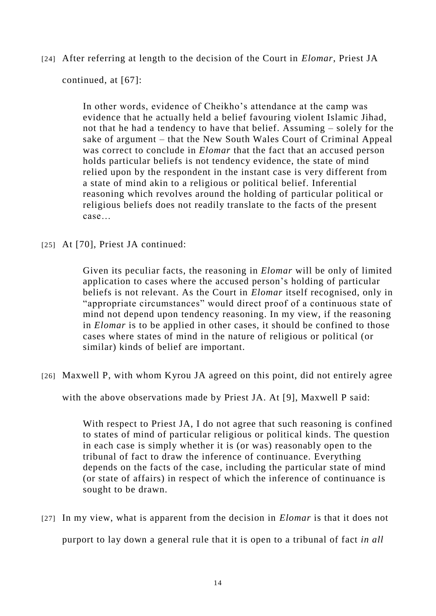[24] After referring at length to the decision of the Court in *Elomar*, Priest JA

continued, at [67]:

In other words, evidence of Cheikho's attendance at the camp was evidence that he actually held a belief favouring violent Islamic Jihad, not that he had a tendency to have that belief. Assuming – solely for the sake of argument – that the New South Wales Court of Criminal Appeal was correct to conclude in *Elomar* that the fact that an accused person holds particular beliefs is not tendency evidence, the state of mind relied upon by the respondent in the instant case is very different from a state of mind akin to a religious or political belief. Inferential reasoning which revolves around the holding of particular political or religious beliefs does not readily translate to the facts of the present case…

[25] At [70], Priest JA continued:

Given its peculiar facts, the reasoning in *Elomar* will be only of limited application to cases where the accused person's holding of particular beliefs is not relevant. As the Court in *Elomar* itself recognised, only in "appropriate circumstances" would direct proof of a continuous state of mind not depend upon tendency reasoning. In my view, if the reasoning in *Elomar* is to be applied in other cases, it should be confined to those cases where states of mind in the nature of religious or political (or similar) kinds of belief are important.

[26] Maxwell P, with whom Kyrou JA agreed on this point, did not entirely agree

with the above observations made by Priest JA. At [9], Maxwell P said:

With respect to Priest JA, I do not agree that such reasoning is confined to states of mind of particular religious or political kinds. The question in each case is simply whether it is (or was) reasonably open to the tribunal of fact to draw the inference of continuance. Everything depends on the facts of the case, including the particular state of mind (or state of affairs) in respect of which the inference of continuance is sought to be drawn.

[27] In my view, what is apparent from the decision in *Elomar* is that it does not purport to lay down a general rule that it is open to a tribunal of fact *in all*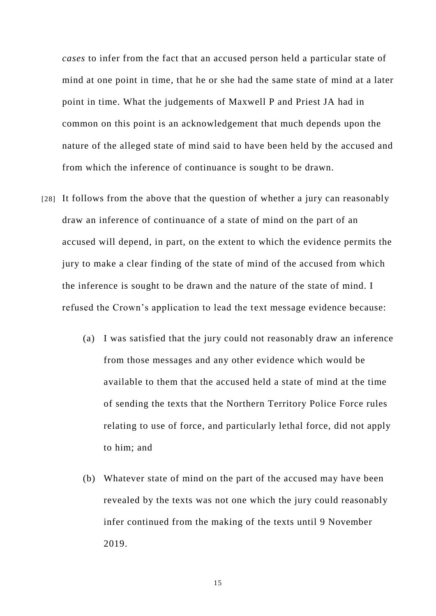*cases* to infer from the fact that an accused person held a particular state of mind at one point in time, that he or she had the same state of mind at a later point in time. What the judgements of Maxwell P and Priest JA had in common on this point is an acknowledgement that much depends upon the nature of the alleged state of mind said to have been held by the accused and from which the inference of continuance is sought to be drawn.

- [28] It follows from the above that the question of whether a jury can reasonably draw an inference of continuance of a state of mind on the part of an accused will depend, in part, on the extent to which the evidence permits the jury to make a clear finding of the state of mind of the accused from which the inference is sought to be drawn and the nature of the state of mind. I refused the Crown's application to lead the text message evidence because:
	- (a) I was satisfied that the jury could not reasonably draw an inference from those messages and any other evidence which would be available to them that the accused held a state of mind at the time of sending the texts that the Northern Territory Police Force rules relating to use of force, and particularly lethal force, did not apply to him; and
	- (b) Whatever state of mind on the part of the accused may have been revealed by the texts was not one which the jury could reasonably infer continued from the making of the texts until 9 November 2019.